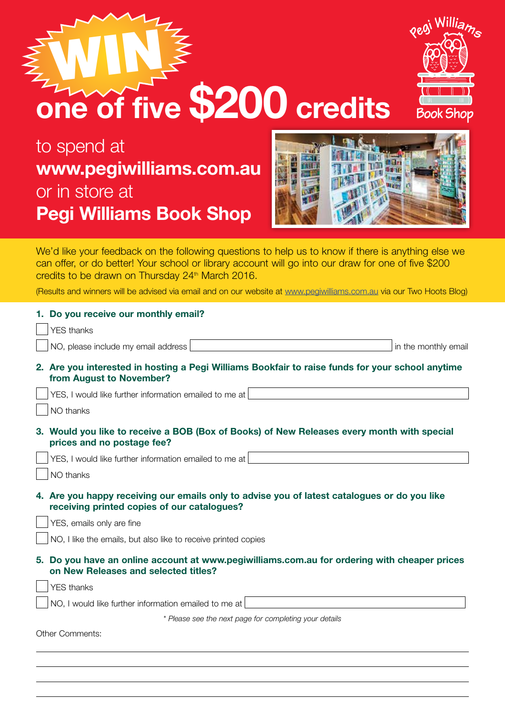| <b>Pegi Williams Book Shop</b>                                                                                                                                                                                                                                                                                                                                                                    |
|---------------------------------------------------------------------------------------------------------------------------------------------------------------------------------------------------------------------------------------------------------------------------------------------------------------------------------------------------------------------------------------------------|
| We'd like your feedback on the following questions to help us to know if there is anything else we<br>can offer, or do better! Your school or library account will go into our draw for one of five \$200<br>credits to be drawn on Thursday 24 <sup>th</sup> March 2016.<br>(Results and winners will be advised via email and on our website at www.pegiwilliams.com.au via our Two Hoots Blog) |
| 1. Do you receive our monthly email?<br><b>YES</b> thanks<br>NO, please include my email address<br>in the monthly email                                                                                                                                                                                                                                                                          |
| 2. Are you interested in hosting a Pegi Williams Bookfair to raise funds for your school anytime<br>from August to November?                                                                                                                                                                                                                                                                      |
| YES, I would like further information emailed to me at<br>NO thanks                                                                                                                                                                                                                                                                                                                               |
| 3. Would you like to receive a BOB (Box of Books) of New Releases every month with special<br>prices and no postage fee?                                                                                                                                                                                                                                                                          |
| YES, I would like further information emailed to me at<br>NO thanks                                                                                                                                                                                                                                                                                                                               |
| 4. Are you happy receiving our emails only to advise you of latest catalogues or do you like<br>receiving printed copies of our catalogues?                                                                                                                                                                                                                                                       |
| YES, emails only are fine                                                                                                                                                                                                                                                                                                                                                                         |
| NO, I like the emails, but also like to receive printed copies                                                                                                                                                                                                                                                                                                                                    |
| 5. Do you have an online account at www.pegiwilliams.com.au for ordering with cheaper prices<br>on New Releases and selected titles?                                                                                                                                                                                                                                                              |
| <b>YES</b> thanks                                                                                                                                                                                                                                                                                                                                                                                 |
| NO, I would like further information emailed to me at                                                                                                                                                                                                                                                                                                                                             |
| * Please see the next page for completing your details                                                                                                                                                                                                                                                                                                                                            |
| Other Comments:                                                                                                                                                                                                                                                                                                                                                                                   |
|                                                                                                                                                                                                                                                                                                                                                                                                   |
|                                                                                                                                                                                                                                                                                                                                                                                                   |

to spend at or in store at

**one of five \$200 credits**

## **www.pegiwilliams.com.au**

WIN